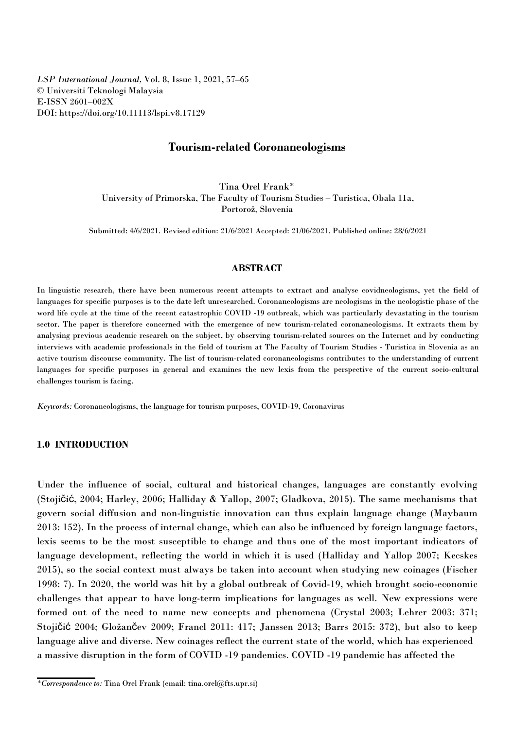*LSP International Journal,* Vol. 8, Issue 1, 2021, 57–65 © Universiti Teknologi Malaysia E-ISSN 2601–002X DOI: https://doi.org/10.11113/lspi.v8.17129

# **Tourism-related Coronaneologisms**

Tina Orel Frank\* University of Primorska, The Faculty of Tourism Studies - Turistica, Obala 11a, Portorož, Slovenia

Submitted: 4/6/2021. Revised edition: 21/6/2021 Accepted: 21/06/2021. Published online: 28/6/2021

## **ABSTRACT**

In linguistic research, there have been numerous recent attempts to extract and analyse covidneologisms, yet the field of languages for specific purposes is to the date left unresearched. Coronaneologisms are neologisms in the neologistic phase of the word life cycle at the time of the recent catastrophic COVID -19 outbreak, which was particularly devastating in the tourism sector. The paper is therefore concerned with the emergence of new tourism-related coronaneologisms. It extracts them by analysing previous academic research on the subject, by observing tourism-related sources on the Internet and by conducting interviews with academic professionals in the field of tourism at The Faculty of Tourism Studies - Turistica in Slovenia as an active tourism discourse community. The list of tourism-related coronaneologisms contributes to the understanding of current languages for specific purposes in general and examines the new lexis from the perspective of the current socio-cultural challenges tourism is facing.

*Keywords:* Coronaneologisms, the language for tourism purposes, COVID-19, Coronavirus

## **1.0 INTRODUCTION**

Under the influence of social, cultural and historical changes, languages are constantly evolving (Stojičić, 2004; Harley, 2006; Halliday & Yallop, 2007; Gladkova, 2015). The same mechanisms that govern social diffusion and non-linguistic innovation can thus explain language change (Maybaum 2013: 152). In the process of internal change, which can also beinfluenced by foreign language factors, lexis seems to be the most susceptible to change and thus one of the most important indicators of language development, reflecting the world in which it is used (Halliday and Yallop 2007; Kecskes 2015), so the social context must always be taken into account when studying new coinages (Fischer 1998: 7). In 2020, the world was hit by a global outbreak of Covid-19, which brought socio-economic challenges that appear to have long-term implications for languages as well. New expressions were formed out of the need to name new concepts and phenomena (Crystal 2003; Lehrer 2003: 371; Stojičić 2004; Gložančev 2009; Francl 2011: 417; Janssen 2013; Barrs 2015: 372), but also to keep language alive and diverse. New coinages reflect the current state of the world, which has experienced a massive disruption in the form of COVID -19 pandemics. COVID -19 pandemic has affected the

*<sup>\*</sup>Correspondence to:* Tina Orel Frank (email: tina.orel@fts.upr.si)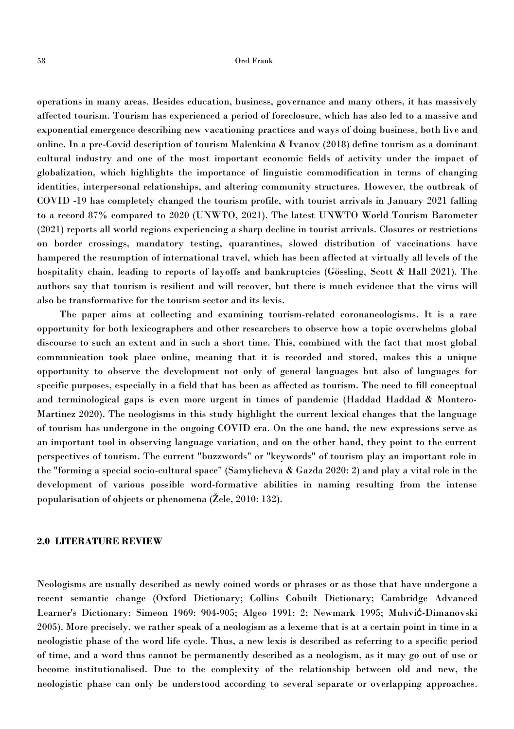#### 58 Orel Frank

operations in many areas. Besides education, business, governance and many others, it has massively affected tourism. Tourism has experienced aperiod of foreclosure, which has also led to a massive and exponential emergence describing new vacationing practices and ways of doing business, both live and online. In a pre-Covid description of tourism Malenkina & Ivanov (2018) define tourism as a dominant cultural industry and one of the most important economic fields of activity under the impact of globalization, which highlights the importance of linguistic commodification in terms ofchanging identities, interpersonal relationships, and altering community structures. However, the outbreak of COVID -19 has completely changed the tourism profile, with tourist arrivals in January 2021 falling to a record 87% compared to 2020 (UNWTO, 2021). The latest UNWTO World Tourism Barometer (2021) reports all world regions experiencing a sharp decline in tourist arrivals. Closures or restrictions on border crossings, mandatory testing, quarantines, slowed distribution of vaccinations have hampered the resumption of international travel, which has been affected at virtually all levels of the hospitality chain, leading to reports of layoffs and bankruptcies (Gössling, Scott & Hall 2021). The authors say that tourism is resilient and will recover, but there ismuch evidence that the virus will also be transformative for the tourism sector and its lexis.

The paper aims at collecting and examining tourism-related coronaneologisms. It is a rare opportunity for both lexicographers and other researchers to observe how a topic overwhelms global discourse to such an extent and in such a short time. This, combined with the fact that most global communication took place online, meaning that it is recorded and stored, makes this a unique opportunity to observe the development not only of general languages but also of languages for specific purposes, especially in a field that has been as affected as tourism.The need to fill conceptual and terminological gaps is even more urgent in times of pandemic (Haddad Haddad & Montero- Martinez 2020). The neologisms in this study highlight the current lexical changes that the language of tourism has undergone in the ongoing COVID era. On the one hand, the new expressions serve as an important toolin observing language variation, and on the other hand, they point to the current perspectives of tourism. The current "buzzwords" or "keywords" of tourism play an important role in the "forming a special socio-cultural space" (Samylicheva & Gazda 2020: 2) and play a vital role in the development of various possible word-formative abilities in naming resulting from the intense popularisation of objects or phenomena (Žele, 2010: 132).

### **2.0 LITERATURE REVIEW**

Neologisms are usually described as newly coined words or phrases or as those that have undergone a recent semantic change (Oxford Dictionary; Collins Cobuilt Dictionary; Cambridge Advanced Learner's Dictionary; Simeon 1969: 904-905; Algeo 1991: 2; Newmark 1995; Muhvić-Dimanovski 2005). More precisely, we rather speak of a neologism as a lexeme that is at a certain point in timein a neologistic phase of the word life cycle. Thus, a new lexis is described as referring to a specific period of time, and aword thus cannot be permanently described as a neologism, as it may go out of use or become institutionalised. Due to the complexity of the relationship between old and new, the neologistic phase can only be understood according to several separate or overlapping approaches.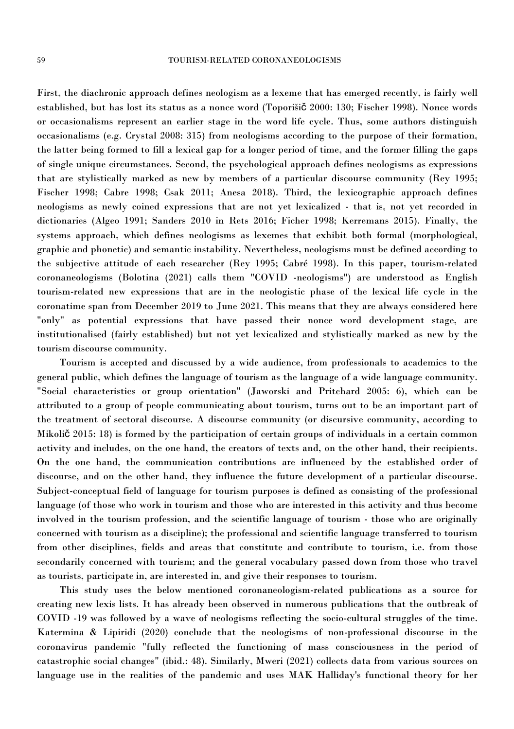First, the diachronic approach defines neologism as a lexeme that has emerged recently, is fairly well established, but has lost its status as a nonce word (Toporišič 2000: 130; Fischer 1998). Nonce words or occasionalisms represent an earlier stage in the word life cycle. Thus, some authors distinguish occasionalisms (e.g. Crystal 2008: 315) from neologisms according to the purpose of their formation, the latter being formed to fill a lexical gap for a longer period of time, and the former filling the gaps of single unique circumstances. Second, the psychological approach defines neologisms as expressions that are stylistically marked as new by members of a particular discourse community (Rey 1995; Fischer 1998; Cabre 1998; Csak 2011; Anesa 2018). Third, the lexicographic approach defines neologisms as newly coined expressions that are not yet lexicalized - that is, not yet recorded in dictionaries (Algeo 1991; Sanders 2010 in Rets 2016; Ficher 1998; Kerremans 2015). Finally, the systems approach, which defines neologisms as lexemes that exhibit both formal (morphological, graphic and phonetic) and semantic instability. Nevertheless, neologisms must be defined according to the subjective attitude of each researcher (Rey 1995; Cabré 1998). In this paper, tourism-related coronaneologisms (Bolotina (2021) calls them "COVID -neologisms") are understood as English tourism-related new expressions that are in the neologistic phase of the lexical life cycle in the coronatime span from December 2019 to June 2021. This means that they are always considered here "only" as potential expressions that have passed their nonce word development stage, are institutionalised (fairly established) but not yet lexicalized and stylistically marked as new by the tourism discourse community.

Tourism is accepted and discussed by a wide audience, from professionals to academics to the general public, which defines the language of tourism as the language of a wide language community. "Social characteristics or group orientation" (Jaworski and Pritchard 2005: 6), which can be attributed to a group of people communicating about tourism, turns out to be an important part of the treatment of sectoral discourse. A discourse community (or discursive community, according to Mikolič 2015: 18) is formed by the participation of certain groups of individuals in a certain common activity and includes, on the one hand, the creators of texts and, on the other hand, their recipients. On the one hand, the communication contributions are influenced by the established order of discourse, and on the other hand, they influence the future development of a particular discourse. Subject-conceptual field of language for tourism purposes is defined as consisting of the professional language (of those who work in tourism and those who are interested in this activity and thus become involved in the tourism profession, and the scientific language of tourism - those who are originally concerned with tourism as a discipline); the professional and scientific language transferred to tourism from other disciplines, fields and areas that constitute and contribute to tourism, i.e. from those secondarily concerned with tourism; and the general vocabulary passed down from those who travel as tourists, participate in, are interested in, and give their responses to tourism.

This study uses the below mentioned coronaneologism-related publications as a source for creating new lexis lists. It has already been observed in numerous publications that the outbreak of COVID -19 was followed by a wave of neologisms reflecting the socio-cultural struggles of the time. Katermina & Lipiridi (2020) conclude that the neologisms of non-professional discourse in the coronavirus pandemic "fully reflected the functioning of mass consciousness in the period of catastrophic social changes" (ibid.: 48). Similarly, Mweri (2021) collects data from various sources on language use in the realities of the pandemic and uses MAK Halliday's functional theory for her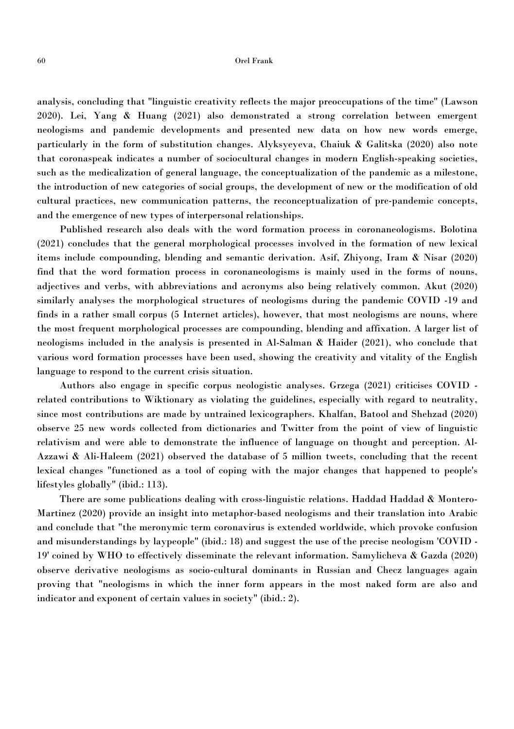#### 60 Orel Frank

analysis, concluding that "linguistic creativity reflects the major preoccupations of the time" (Lawson 2020). Lei, Yang & Huang (2021) also demonstrated a strong correlation between emergent neologisms and pandemic developments and presented new data on how new words emerge, particularly in the form of substitution changes. Alyksyeyeva, Chaiuk & Galitska (2020) also note that coronaspeak indicates a number of sociocultural changes in modern English-speaking societies, such as the medicalization of general language, the conceptualization of the pandemic as a milestone, the introduction of new categories of social groups, the development of new or the modification of old cultural practices, new communication patterns, the reconceptualization of pre-pandemic concepts, and the emergence of new types of interpersonal relationships.

Published research also deals with the word formation process in coronaneologisms. Bolotina (2021) concludes that the general morphological processes involved in the formation of new lexical items include compounding, blending and semantic derivation. Asif, Zhiyong, Iram & Nisar (2020) find that the word formation process in coronaneologisms is mainly used in the forms of nouns, adjectives and verbs, with abbreviations and acronyms also being relatively common. Akut (2020) similarly analyses the morphological structures of neologisms during the pandemic COVID -19 and finds in a rather small corpus (5 Internet articles), however, that most neologisms are nouns, where the most frequent morphological processes are compounding, blending and affixation. A larger list of neologisms included in the analysis is presented in Al-Salman & Haider (2021), who conclude that various word formation processes have been used, showing the creativity and vitality of the English language to respond to the current crisis situation.

Authors also engage in specific corpus neologistic analyses. Grzega (2021) criticises COVID related contributions to Wiktionary as violating the guidelines, especially with regard to neutrality, since most contributions are made by untrained lexicographers. Khalfan, Batool and Shehzad (2020) observe 25 new words collected from dictionaries and Twitter from the point of view of linguistic relativism and were able to demonstrate the influence of language on thought and perception. Al- Azzawi & Ali-Haleem  $(2021)$  observed the database of 5 million tweets, concluding that the recent lexical changes "functioned as a tool of coping with the major changes that happened to people's lifestyles globally" (ibid.: 113).

There are some publications dealing with cross-linguistic relations. Haddad Haddad & Montero- Martinez (2020) provide an insight into metaphor-based neologisms and their translation into Arabic and conclude that "the meronymic term coronavirus is extended worldwide, which provoke confusion and misunderstandings by laypeople" (ibid.: 18) and suggest the use of the precise neologism 'COVID - 19' coined by WHO to effectively disseminate the relevant information. Samylicheva & Gazda (2020) observe derivative neologisms as socio-cultural dominants in Russian and Checz languages again proving that "neologisms in which the inner form appears in the most naked form are also and indicator and exponent of certain values in society" (ibid.: 2).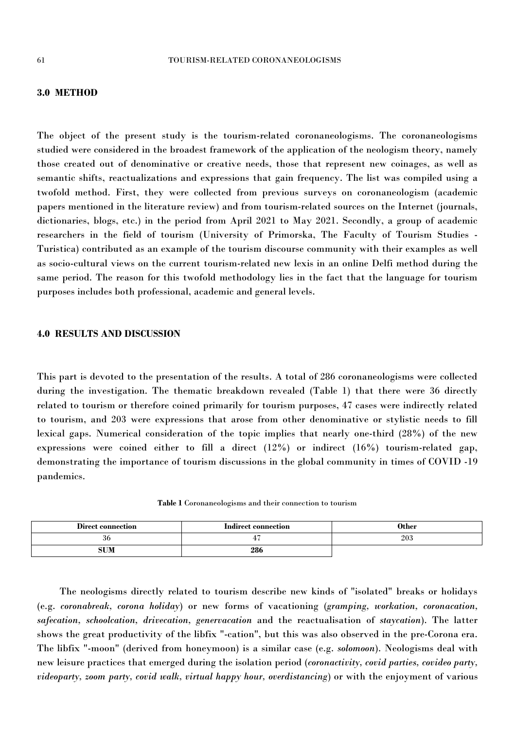## **3.0 METHOD**

The object of the present study is the tourism-related coronaneologisms. The coronaneologisms studied were considered in the broadest framework of the application of the neologism theory, namely those created out of denominative or creative needs, those that represent new coinages, as well as semantic shifts, reactualizations and expressions that gain frequency. The list was compiled using a twofold method. First, they were collected from previous surveys on coronaneologism (academic papers mentioned in the literature review) and from tourism-related sources on the Internet (journals, dictionaries, blogs, etc.) in the period from April 2021 to May 2021. Secondly, a group of academic researchers in the field of tourism (University of Primorska, The Faculty of Tourism Studies - Turistica) contributed as an example of the tourism discourse community with their examples as wellas socio-cultural views on the current tourism-related new lexis in an online Delfi method during the same period. The reason for this twofold methodology lies in the fact that the language for tourism purposes includes both professional, academic and general levels.

## **4.0 RESULTS AND DISCUSSION**

This part is devoted to the presentation of the results. A total of 286 coronaneologisms were collected during the investigation. The thematic breakdown revealed (Table 1) that there were 36 directly related to tourism or therefore coined primarily for tourism purposes, 47 cases were indirectly related to tourism, and 203 were expressions that arose from other denominative or stylistic needs to fill lexical gaps. Numerical consideration of the topic implies that nearly one-third (28%) of the new expressions were coined either to fill a direct (12%) or indirect (16%) tourism-related gap, demonstrating the importance of tourism discussions in the global community in times of COVID -19 pandemics.

**Table 1** Coronaneologisms and their connection to tourism

| Direct connection | <b>Indirect connection</b> | Other |
|-------------------|----------------------------|-------|
| - 30              | т.                         | 203   |
| ------            | 286                        |       |

The neologisms directly related to tourism describe new kinds of "isolated" breaks or holidays (e.g. *coronabreak, corona holiday*) or new forms of vacationing (*gramping, workation, coronacation, safecation, schoolcation, drivecation, genervacation* and the reactualisation of *staycation*). The latter shows the great productivity of the libfix "-cation", but this was also observed in the pre-Corona era. The libfix "-moon" (derived from honeymoon) is a similar case (e.g. *solomoon*). Neologisms deal with new leisure practices that emerged during the isolation period (*coronactivity, covid parties, covideo party, videoparty, zoom party, covid walk, virtual happy hour, overdistancing*) or with the enjoyment of various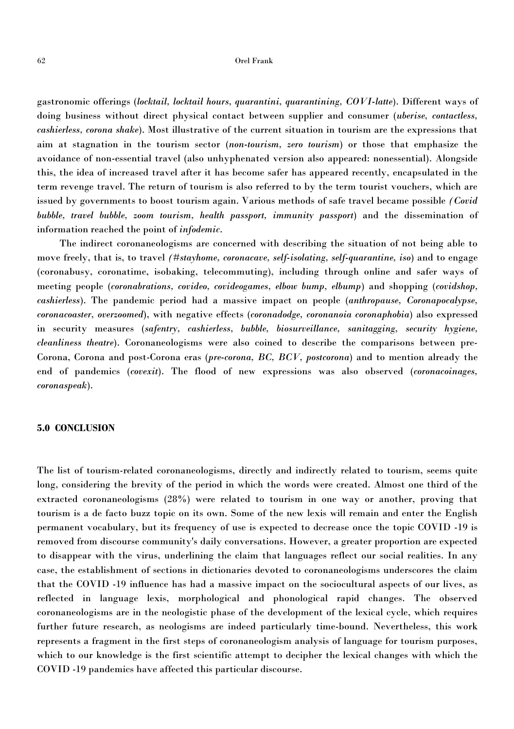#### 62 Orel Frank

gastronomic offerings (*locktail, locktail hours, quarantini, quarantining, COVI-latte*). Different ways of doing business without direct physical contact between supplier and consumer (*uberise, contactless, cashierless, corona shake*). Most illustrative of the current situation in tourism are the expressions that aim at stagnation in the tourism sector (*non-tourism, zero tourism*) or those that emphasize the avoidance of non-essential travel (also unhyphenated version also appeared: nonessential). Alongside this, the idea of increased travel after it has become safer has appeared recently, encapsulated in the term revenge travel. The return of tourism is also referred to by the term tourist vouchers, which are issued by governments to boost tourism again. Various methods of safe travel became possible *(Covid bubble, travel bubble, zoom tourism, health passport, immunity passport*) and the dissemination of information reached the point of *infodemic*.

The indirect coronaneologisms are concerned with describing the situation of not being able to move freely, that is, to travel *(#stayhome, coronacave, self-isolating, self-quarantine, iso)* and to engage (coronabusy, coronatime, isobaking, telecommuting), including through online and safer ways of meeting people (*coronabrations, covideo, covideogames, elbow bump, elbump*) and shopping (*covidshop, cashierless*). The pandemic period had a massive impact on people (*anthropause, Coronapocalypse, coronacoaster, overzoomed*), with negative effects (*coronadodge, coronanoia coronaphobia*) also expressed in security measures (*safentry, cashierless, bubble, biosurveillance, sanitagging, security hygiene, cleanliness theatre*). Coronaneologisms were also coined to describe the comparisons between pre- Corona, Corona and post-Corona eras (*pre-corona, BC, BCV, postcorona*) and to mention already the end of pandemics (*covexit*). The flood of new expressions was also observed (*coronacoinages, coronaspeak*).

## **5.0 CONCLUSION**

The list of tourism-related coronaneologisms, directly and indirectly related to tourism, seems quite long, considering the brevity of the period in which the words were created. Almost one third of the extracted coronaneologisms (28%) were related to tourism in one way or another, proving that tourism is a de facto buzz topic on its own. Some of the new lexis will remain and enter the English permanent vocabulary, but its frequency of use is expected to decrease once the topic COVID -19 is removed from discourse community's daily conversations. However, a greater proportion are expected to disappear with the virus, underlining the claim that languages reflect our social realities. In any case, the establishment of sections in dictionaries devoted to coronaneologisms underscores the claim that the COVID -19 influence has had a massive impact on the sociocultural aspects of our lives, as reflected in language lexis, morphological and phonological rapid changes. The observed coronaneologisms are in the neologistic phase of the development of the lexical cycle, which requires further future research, as neologisms are indeed particularly time-bound. Nevertheless, this work represents a fragment in the first steps of coronaneologism analysis of language for tourism purposes, which to our knowledge is the first scientific attempt to decipher the lexical changes with which the COVID -19 pandemics have affected this particular discourse.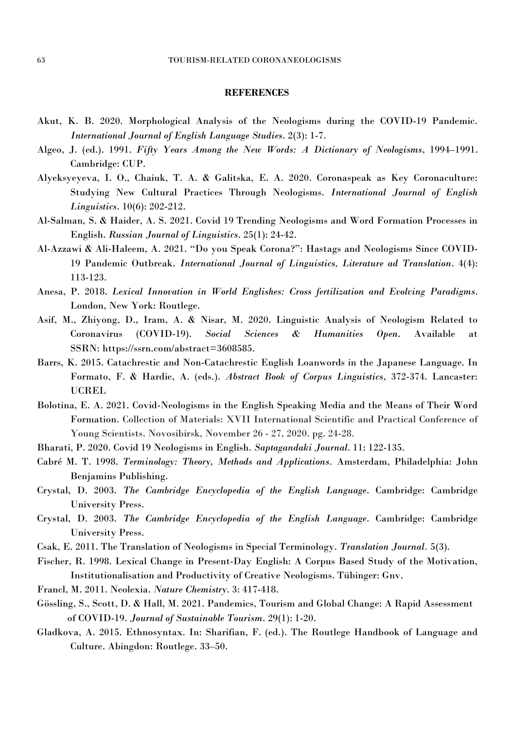### **REFERENCES**

- Akut, K. B. 2020. Morphological Analysis of the Neologisms during the COVID-19 Pandemic. *International Journal of English Language Studies*. 2(3): 1-7.
- Algeo, J. (ed.). 1991. *Fifty Years Among the New Words: A Dictionary of Neologisms*, 1994–1991. Cambridge: CUP.
- Alyeksyeyeva, I. O., Chaiuk, T. A. & Galitska, E. A. 2020. Coronaspeak as Key Coronaculture: Studying New Cultural Practices Through Neologisms. *International Journal of English Linguistics*. 10(6): 202-212.
- Al-Salman, S. & Haider, A. S. 2021.Covid 19 Trending Neologisms and Word Formation Processes in English. *Russian Journal of Linguistics*. 25(1): 24-42.
- Al-Azzawi & Ali-Haleem, A. 2021. "Do you Speak Corona?": Hastags and Neologisms Since COVID- 19 Pandemic Outbreak. *International Journal of Linguistics, Literature ad Translation*. 4(4): 113-123.
- Anesa, P. 2018. *Lexical Innovation in World Englishes: Cross fertilization and Evolving Paradigms*. London, New York: Routlege.
- Asif, M., Zhiyong, D., Iram, A. & Nisar, M. 2020. Linguistic Analysis of Neologism Related to Coronavirus (COVID-19). *Social Sciences & Humanities Open*. Available at SSRN: https://ssrn.com/abstract=3608585.
- Barrs, K. 2015. Catachrestic and Non-Catachrestic English Loanwords in the Japanese Language. In Formato, F. & Hardie, A. (eds.). *Abstract Book of Corpus Linguistics*, 372-374. Lancaster: UCREL
- Bolotina, E. A. 2021. Covid-Neologisms in the English Speaking Media and the Means of Their Word Formation. Collection of Materials: XVII International Scientific and Practical Conference of Young Scientists. Novosibirsk, November 26 - 27, 2020. pg. 24-28.
- Bharati, P. 2020. Covid 19 Neologisms in English. *Saptagandaki Journal*. 11: 122-135.
- Cabré M. T. 1998. *Terminology: Theory, Methods and Applications.* Amsterdam, Philadelphia: John Benjamins Publishing.
- Crystal, D. 2003. *The Cambridge Encyclopedia of the English Language*. Cambridge: Cambridge University Press.
- Crystal, D. 2003. *The Cambridge Encyclopedia of the English Language*. Cambridge: Cambridge University Press.
- Csak, E. 2011. The Translation of Neologisms in Special Terminology. *Translation Journal.* 5(3).
- Fischer, R. 1998. Lexical Change in Present-Day English: A Corpus Based Study of the Motivation, Institutionalisation and Productivity of Creative Neologisms. Tübinger: Gnv.
- Francl, M. 2011. Neolexia. *Nature Chemistry*. 3: 417-418.
- Gössling, S., Scott, D. & Hall, M. 2021. Pandemics, Tourism and Global Change: A Rapid Assessment of COVID-19. *Journal of Sustainable Tourism*. 29(1): 1-20.
- Gladkova, A. 2015. Ethnosyntax. In: Sharifian, F. (ed.). The Routlege Handbook of Language and Culture. Abingdon: Routlege. 33–50.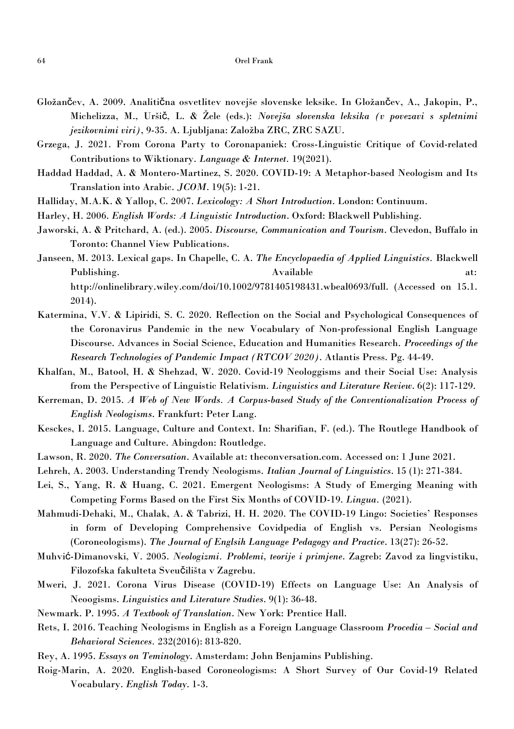- Gložančev, A. 2009. Analitična osvetlitev novejše slovenske leksike. In Gložančev, A., Jakopin, P., Michelizza, M., Uršič, L. & Žele (eds.): *Novejša slovenska leksika (v povezavi s spletnimi jezikovnimi viri)*, 9-35. A. Ljubljana: Založba ZRC, ZRC SAZU.
- Grzega, J. 2021. From Corona Party to Coronapaniek: Cross-Linguistic Critique of Covid-related Contributions to Wiktionary. *Language & Internet.* 19(2021).
- Haddad Haddad, A. & Montero-Martinez,S. 2020. COVID-19: A Metaphor-based Neologism and Its Translation into Arabic. *JCOM*. 19(5): 1-21.
- Halliday, M.A.K. & Yallop, C. 2007. *Lexicology: A Short Introduction*. London: Continuum.
- Harley, H. 2006. *English Words:A Linguistic Introduction*. Oxford: Blackwell Publishing.
- Jaworski, A. & Pritchard, A. (ed.). 2005. *Discourse, Communication and Tourism*. Clevedon, Buffalo in Toronto: Channel View Publications.
- Janseen, M. 2013. Lexical gaps. In Chapelle, C. A. *The Encyclopaedia of Applied Linguistics.* Blackwell Publishing. Available at: http://onlinelibrary.wiley.com/doi/10.1002/9781405198431.wbeal0693/full. (Accessed on 15.1. 2014).
- Katermina, V.V. & Lipiridi, S. C. 2020. Reflection on the Social and Psychological Consequences of the Coronavirus Pandemic in the new Vocabulary of Non-professional English Language Discourse. Advances in Social Science, Education and Humanities Research. *Proceedings ofthe Research Technologies ofPandemic Impact (RTCOV 2020)*. Atlantis Press. Pg. 44-49.
- Khalfan, M., Batool, H. & Shehzad, W. 2020. Covid-19 Neologgisms and their Social Use: Analysis from the Perspective of Linguistic Relativism. *Linguistics and Literature Review*. 6(2): 117-129.
- Kerreman, D. 2015. *A Web of New Words. A Corpus-based Study of the Conventionalization Process of English Neologisms*. Frankfurt: Peter Lang.
- Kesckes, I. 2015. Language, Culture and Context. In: Sharifian, F. (ed.). The Routlege Handbook of Language and Culture. Abingdon: Routledge.
- Lawson, R. 2020. *The Conversation*. Available at: theconversation.com. Accessed on: 1 June 2021.
- Lehreh, A. 2003. Understanding Trendy Neologisms. *Italian Journal of Linguistics*. 15 (1): 271-384.
- Lei, S., Yang, R. & Huang, C. 2021. Emergent Neologisms: A Study of Emerging Meaning with Competing Forms Based on the First Six Months of COVID-19. *Lingua.* (2021).
- Mahmudi-Dehaki, M., Chalak, A. & Tabrizi, H. H. 2020. The COVID-19 Lingo: Societies' Responses in form of Developing Comprehensive Covidpedia of English vs. Persian Neologisms (Coroneologisms). *The Journal of Englsih Language Pedagogy and Practice*. 13(27): 26-52.
- Muhvić-Dimanovski, V. 2005. *Neologizmi. Problemi, teorije i primjene*. Zagreb: Zavod za lingvistiku, Filozofska fakulteta Sveučilišta v Zagrebu.
- Mweri, J. 2021. Corona Virus Disease (COVID-19) Effects on Language Use: An Analysis of Neoogisms. *Linguistics and Literature Studies*. 9(1): 36-48.
- Newmark. P. 1995. *A Textbook of Translation*. New York: Prentice Hall.
- Rets, I. 2016. Teaching Neologisms in English as a Foreign Language Classroom *Procedia – Social and Behavioral Sciences.* 232(2016): 813-820.
- Rey, A. 1995. *Essays on Teminology*. Amsterdam: John Benjamins Publishing.
- Roig-Marin, A. 2020. English-based Coroneologisms: A Short Survey of Our Covid-19 Related Vocabulary. *English Today*. 1-3.